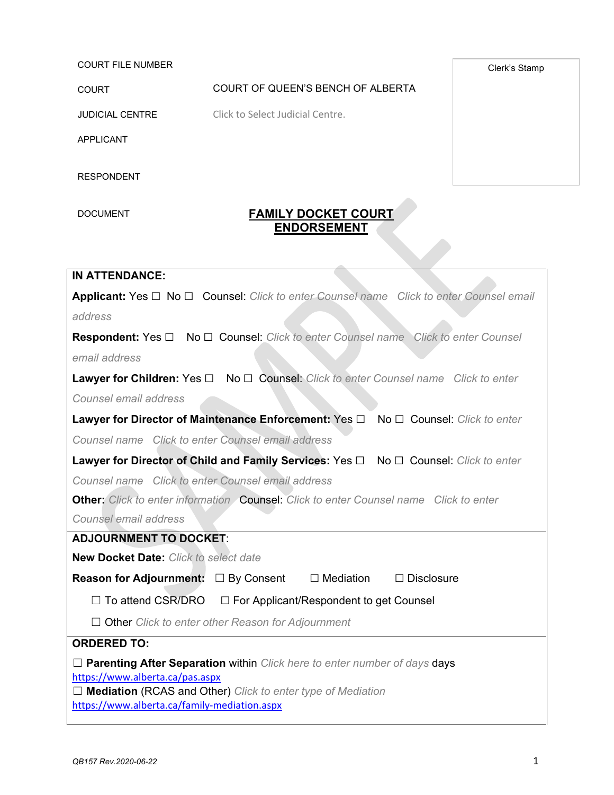COURT FILE NUMBER

COURT COURT OF QUEEN'S BENCH OF ALBERTA

JUDICIAL CENTRE Click to Select Judicial Centre.

APPLICANT

RESPONDENT

## DOCUMENT **FAMILY DOCKET COURT ENDORSEMENT**

**IN ATTENDANCE: Applicant:** Yes ☐ No ☐ Counsel: *Click to enter Counsel name Click to enter Counsel email address* **Respondent:** Yes ☐ No ☐ Counsel: *Click to enter Counsel name Click to enter Counsel email address* **Lawyer for Children:** Yes ☐ No ☐ Counsel: *Click to enter Counsel name Click to enter Counsel email address* **Lawyer for Director of Maintenance Enforcement:** Yes ☐ No ☐ Counsel: *Click to enter Counsel name Click to enter Counsel email address* **Lawyer for Director of Child and Family Services:** Yes ☐ No ☐ Counsel: *Click to enter Counsel name Click to enter Counsel email address* **Other:** *Click to enter information* Counsel: *Click to enter Counsel name Click to enter Counsel email address* **ADJOURNMENT TO DOCKET**: **New Docket Date:** *Click to select date* **Reason for Adjournment:**  $□$  By Consent  $□$  Mediation  $□$  Disclosure  $\Box$  To attend CSR/DRO  $\Box$  For Applicant/Respondent to get Counsel ☐ Other *Click to enter other Reason for Adjournment* **ORDERED TO:** ☐ **Parenting After Separation** within *Click here to enter number of days* days <https://www.alberta.ca/pas.aspx> ☐ **Mediation** (RCAS and Other) *Click to enter type of Mediation* <https://www.alberta.ca/family-mediation.aspx>

Clerk's Stamp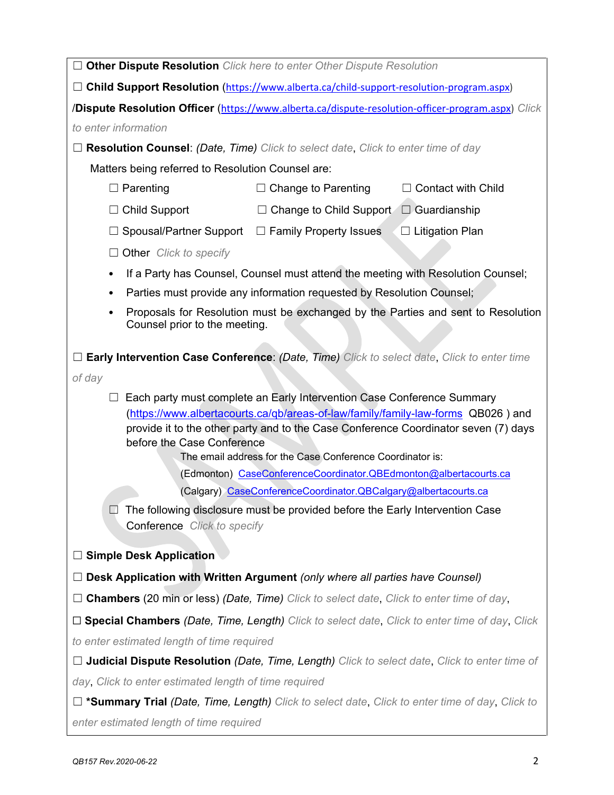| $\Box$ Other Dispute Resolution Click here to enter Other Dispute Resolution                                                                                            |
|-------------------------------------------------------------------------------------------------------------------------------------------------------------------------|
| □ Child Support Resolution (https://www.alberta.ca/child-support-resolution-program.aspx)                                                                               |
| /Dispute Resolution Officer (https://www.alberta.ca/dispute-resolution-officer-program.aspx) Click                                                                      |
| to enter information                                                                                                                                                    |
| <b>Resolution Counsel: (Date, Time)</b> Click to select date, Click to enter time of day                                                                                |
| Matters being referred to Resolution Counsel are:                                                                                                                       |
| $\Box$ Contact with Child<br>$\Box$ Parenting<br>$\Box$ Change to Parenting                                                                                             |
| $\Box$ Child Support<br>$\Box$ Change to Child Support $\Box$ Guardianship                                                                                              |
| Spousal/Partner Support □ Family Property Issues<br>$\Box$ Litigation Plan                                                                                              |
| Other Click to specify                                                                                                                                                  |
| If a Party has Counsel, Counsel must attend the meeting with Resolution Counsel;                                                                                        |
| Parties must provide any information requested by Resolution Counsel;                                                                                                   |
| Proposals for Resolution must be exchanged by the Parties and sent to Resolution<br>Counsel prior to the meeting.                                                       |
| Early Intervention Case Conference: (Date, Time) Click to select date, Click to enter time                                                                              |
| of day                                                                                                                                                                  |
| Each party must complete an Early Intervention Case Conference Summary                                                                                                  |
| (https://www.albertacourts.ca/qb/areas-of-law/family/family-law-forms QB026) and<br>provide it to the other party and to the Case Conference Coordinator seven (7) days |
| before the Case Conference                                                                                                                                              |
| The email address for the Case Conference Coordinator is:                                                                                                               |
| (Edmonton) CaseConferenceCoordinator.QBEdmonton@albertacourts.ca<br>(Calgary) CaseConferenceCoordinator.QBCalgary@albertacourts.ca                                      |
| $\Box$ The following disclosure must be provided before the Early Intervention Case                                                                                     |
| <b>Conference</b> Click to specify                                                                                                                                      |
|                                                                                                                                                                         |
| □ Simple Desk Application                                                                                                                                               |
| $\Box$ Desk Application with Written Argument (only where all parties have Counsel)                                                                                     |
| $\Box$ Chambers (20 min or less) (Date, Time) Click to select date, Click to enter time of day,                                                                         |
| $\Box$ Special Chambers (Date, Time, Length) Click to select date, Click to enter time of day, Click                                                                    |
| to enter estimated length of time required                                                                                                                              |
| $\Box$ Judicial Dispute Resolution (Date, Time, Length) Click to select date, Click to enter time of                                                                    |
| day, Click to enter estimated length of time required                                                                                                                   |
| $\Box$ <b>*Summary Trial (Date, Time, Length)</b> Click to select date, Click to enter time of day, Click to                                                            |
| enter estimated length of time required                                                                                                                                 |